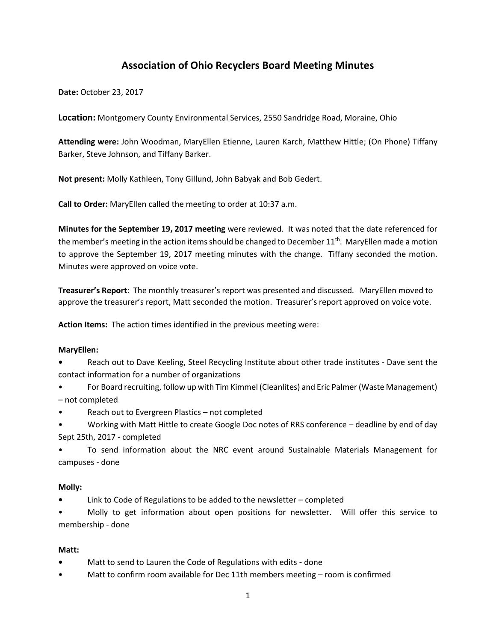# **Association of Ohio Recyclers Board Meeting Minutes**

**Date:** October 23, 2017

**Location:** Montgomery County Environmental Services, 2550 Sandridge Road, Moraine, Ohio

**Attending were:** John Woodman, MaryEllen Etienne, Lauren Karch, Matthew Hittle; (On Phone) Tiffany Barker, Steve Johnson, and Tiffany Barker.

**Not present:** Molly Kathleen, Tony Gillund, John Babyak and Bob Gedert.

**Call to Order:** MaryEllen called the meeting to order at 10:37 a.m.

**Minutes for the September 19, 2017 meeting** were reviewed. It was noted that the date referenced for the member's meeting in the action items should be changed to December  $11<sup>th</sup>$ . MaryEllen made a motion to approve the September 19, 2017 meeting minutes with the change. Tiffany seconded the motion. Minutes were approved on voice vote.

**Treasurer's Report**: The monthly treasurer's report was presented and discussed. MaryEllen moved to approve the treasurer's report, Matt seconded the motion. Treasurer's report approved on voice vote.

**Action Items:** The action times identified in the previous meeting were:

### **MaryEllen:**

**•** Reach out to Dave Keeling, Steel Recycling Institute about other trade institutes - Dave sent the contact information for a number of organizations

• For Board recruiting, follow up with Tim Kimmel (Cleanlites) and Eric Palmer (Waste Management) – not completed

- Reach out to Evergreen Plastics not completed
- Working with Matt Hittle to create Google Doc notes of RRS conference deadline by end of day Sept 25th, 2017 - completed

• To send information about the NRC event around Sustainable Materials Management for campuses - done

# **Molly:**

**•** Link to Code of Regulations to be added to the newsletter – completed

• Molly to get information about open positions for newsletter. Will offer this service to membership - done

### **Matt:**

- **•** Matt to send to Lauren the Code of Regulations with edits **-** done
- Matt to confirm room available for Dec 11th members meeting room is confirmed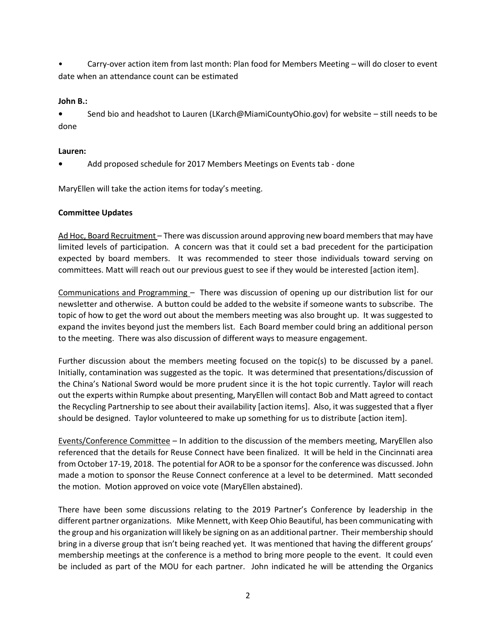• Carry-over action item from last month: Plan food for Members Meeting – will do closer to event date when an attendance count can be estimated

## **John B.:**

**•** Send bio and headshot to Lauren (LKarch@MiamiCountyOhio.gov) for website – still needs to be done

## **Lauren:**

**•** Add proposed schedule for 2017 Members Meetings on Events tab - done

MaryEllen will take the action items for today's meeting.

# **Committee Updates**

Ad Hoc, Board Recruitment – There was discussion around approving new board members that may have limited levels of participation. A concern was that it could set a bad precedent for the participation expected by board members. It was recommended to steer those individuals toward serving on committees. Matt will reach out our previous guest to see if they would be interested [action item].

Communications and Programming – There was discussion of opening up our distribution list for our newsletter and otherwise. A button could be added to the website if someone wants to subscribe. The topic of how to get the word out about the members meeting was also brought up. It was suggested to expand the invites beyond just the members list. Each Board member could bring an additional person to the meeting. There was also discussion of different ways to measure engagement.

Further discussion about the members meeting focused on the topic(s) to be discussed by a panel. Initially, contamination was suggested as the topic. It was determined that presentations/discussion of the China's National Sword would be more prudent since it is the hot topic currently. Taylor will reach out the experts within Rumpke about presenting, MaryEllen will contact Bob and Matt agreed to contact the Recycling Partnership to see about their availability [action items]. Also, it was suggested that a flyer should be designed. Taylor volunteered to make up something for us to distribute [action item].

Events/Conference Committee – In addition to the discussion of the members meeting, MaryEllen also referenced that the details for Reuse Connect have been finalized. It will be held in the Cincinnati area from October 17-19, 2018. The potential for AOR to be a sponsor for the conference was discussed. John made a motion to sponsor the Reuse Connect conference at a level to be determined. Matt seconded the motion. Motion approved on voice vote (MaryEllen abstained).

There have been some discussions relating to the 2019 Partner's Conference by leadership in the different partner organizations. Mike Mennett, with Keep Ohio Beautiful, has been communicating with the group and his organization will likely be signing on as an additional partner. Their membership should bring in a diverse group that isn't being reached yet. It was mentioned that having the different groups' membership meetings at the conference is a method to bring more people to the event. It could even be included as part of the MOU for each partner. John indicated he will be attending the Organics